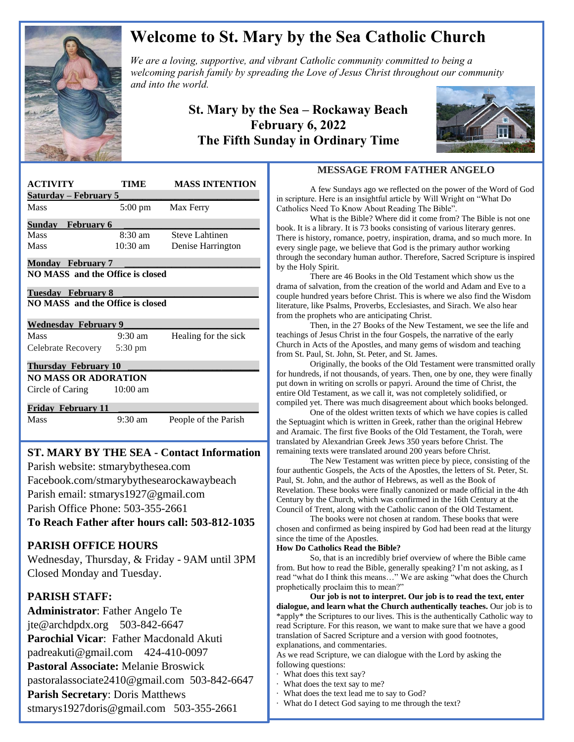

# **Welcome to St. Mary by the Sea Catholic Church**

*We are a loving, supportive, and vibrant Catholic community committed to being a We are a loving, supportive, and vibrant Catholic community committed to being a*  $\mathbb{Z}$ *welcoming parish family by spreading the Love of Jesus Christ throughout our community and into the world.*

## **St. Mary by the Sea – Rockaway Beach February 6, 2022 The Fifth Sunday in Ordinary Time**



| <b>ACTIVITY</b>                         | TIME              | <b>MASS INTENTION</b> |
|-----------------------------------------|-------------------|-----------------------|
| <u> Saturday – February 5</u>           |                   |                       |
| Mass                                    | $5:00 \text{ pm}$ | Max Ferry             |
| <b>Sunday</b> February 6                |                   |                       |
| Mass                                    | 8:30 am           | Steve Lahtinen        |
| Mass                                    | 10:30 am          | Denise Harrington     |
| <b>Monday</b> February 7                |                   |                       |
| <b>NO MASS</b> and the Office is closed |                   |                       |
| Tuesday February 8                      |                   |                       |
| NO MASS and the Office is closed        |                   |                       |
|                                         |                   |                       |
|                                         |                   |                       |
| <b>Wednesday February 9</b>             |                   |                       |
| Mass                                    | $9:30 \text{ am}$ | Healing for the sick  |
| Celebrate Recovery 5:30 pm              |                   |                       |
| <b>Thursday February 10</b>             |                   |                       |
| NO MASS OR ADORATION                    |                   |                       |
| Circle of Caring 10:00 am               |                   |                       |
|                                         |                   |                       |
| <b>Friday February 11</b><br>Mass       | $9:30$ am         | People of the Parish  |

# **ST. MARY BY THE SEA - Contact Information**

 Facebook.com/stmarybythesearockawaybeach Parish website: stmarybythesea.com Parish email: stmarys1927@gmail.com Parish Office Phone: 503-355-2661

**To Reach Father after hours call: 503-812-1035**

### **PARISH OFFICE HOURS**

Wednesday, Thursday, & Friday - 9AM until 3PM Closed Monday and Tuesday.

### **PARISH STAFF:**

 

> **Administrator**: Father Angelo Te jte@archdpdx.org 503-842-6647 **Parochial Vicar**: Father Macdonald Akuti padreakuti@gmail.com 424-410-0097 **Pastoral Associate:** Melanie Broswick pastoralassociate2410@gmail.com 503-842-6647 **Parish Secretary**: Doris Matthews stmarys1927doris@gmail.com 503-355-2661

### **MESSAGE FROM FATHER ANGELO**

A few Sundays ago we reflected on the power of the Word of God in scripture. Here is an insightful article by Will Wright on "What Do Catholics Need To Know About Reading The Bible".

What is the Bible? Where did it come from? The Bible is not one book. It is a library. It is 73 books consisting of various literary genres. There is history, romance, poetry, inspiration, drama, and so much more. In every single page, we believe that God is the primary author working through the secondary human author. Therefore, Sacred Scripture is inspired by the Holy Spirit.

There are 46 Books in the Old Testament which show us the drama of salvation, from the creation of the world and Adam and Eve to a couple hundred years before Christ. This is where we also find the Wisdom literature, like Psalms, Proverbs, Ecclesiastes, and Sirach. We also hear from the prophets who are anticipating Christ.

Then, in the 27 Books of the New Testament, we see the life and teachings of Jesus Christ in the four Gospels, the narrative of the early Church in Acts of the Apostles, and many gems of wisdom and teaching from St. Paul, St. John, St. Peter, and St. James.

Originally, the books of the Old Testament were transmitted orally for hundreds, if not thousands, of years. Then, one by one, they were finally put down in writing on scrolls or papyri. Around the time of Christ, the entire Old Testament, as we call it, was not completely solidified, or compiled yet. There was much disagreement about which books belonged.

One of the oldest written texts of which we have copies is called the Septuagint which is written in Greek, rather than the original Hebrew and Aramaic. The first five Books of the Old Testament, the Torah, were translated by Alexandrian Greek Jews 350 years before Christ. The remaining texts were translated around 200 years before Christ.

The New Testament was written piece by piece, consisting of the four authentic Gospels, the Acts of the Apostles, the letters of St. Peter, St. Paul, St. John, and the author of Hebrews, as well as the Book of Revelation. These books were finally canonized or made official in the 4th Century by the Church, which was confirmed in the 16th Century at the Council of Trent, along with the Catholic canon of the Old Testament.

The books were not chosen at random. These books that were chosen and confirmed as being inspired by God had been read at the liturgy since the time of the Apostles.

#### **How Do Catholics Read the Bible?**

So, that is an incredibly brief overview of where the Bible came from. But how to read the Bible, generally speaking? I'm not asking, as I read "what do I think this means…" We are asking "what does the Church prophetically proclaim this to mean?"

**Our job is not to interpret. Our job is to read the text, enter dialogue, and learn what the Church authentically teaches.** Our job is to \*apply\* the Scriptures to our lives. This is the authentically Catholic way to read Scripture. For this reason, we want to make sure that we have a good translation of Sacred Scripture and a version with good footnotes, explanations, and commentaries.

As we read Scripture, we can dialogue with the Lord by asking the following questions:

- · What does this text say?
- · What does the text say to me?
- · What does the text lead me to say to God?
- · What do I detect God saying to me through the text?